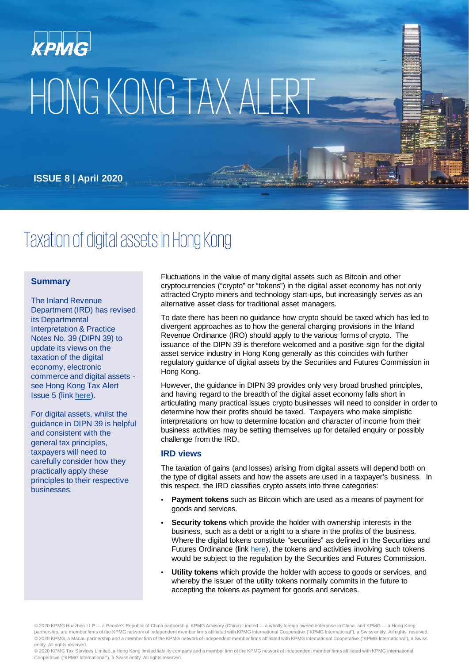# HONG KONG TAX ALERT

**ISSUE 8 | April 2020**

## Taxation of digital assets in Hong Kong

#### **Summary**

The Inland Revenue Department (IRD) has revised its Departmental Interpretation & Practice Notes No. 39 (DIPN 39) to update its views on the taxation of the digital economy, electronic commerce and digital assets see Hong Kong Tax Alert Issue 5 (link [here](https://home.kpmg/cn/en/home/insights/2020/04/tax-alert-5-hk-revised-version-of-dipn-39.html)).

For digital assets, whilst the guidance in DIPN 39 is helpful and consistent with the general tax principles, taxpayers will need to carefully consider how they practically apply these principles to their respective businesses.

Fluctuations in the value of many digital assets such as Bitcoin and other cryptocurrencies ("crypto" or "tokens") in the digital asset economy has not only attracted Crypto miners and technology start-ups, but increasingly serves as an alternative asset class for traditional asset managers.

To date there has been no guidance how crypto should be taxed which has led to divergent approaches as to how the general charging provisions in the Inland Revenue Ordinance (IRO) should apply to the various forms of crypto. The issuance of the DIPN 39 is therefore welcomed and a positive sign for the digital asset service industry in Hong Kong generally as this coincides with further regulatory guidance of digital assets by the Securities and Futures Commission in Hong Kong.

However, the guidance in DIPN 39 provides only very broad brushed principles, and having regard to the breadth of the digital asset economy falls short in articulating many practical issues crypto businesses will need to consider in order to determine how their profits should be taxed. Taxpayers who make simplistic interpretations on how to determine location and character of income from their business activities may be setting themselves up for detailed enquiry or possibly challenge from the IRD.

#### **IRD views**

The taxation of gains (and losses) arising from digital assets will depend both on the type of digital assets and how the assets are used in a taxpayer's business. In this respect, the IRD classifies crypto assets into three categories:

- **Payment tokens** such as Bitcoin which are used as a means of payment for goods and services.
- **Security tokens** which provide the holder with ownership interests in the business, such as a debt or a right to a share in the profits of the business. Where the digital tokens constitute "securities" as defined in the Securities and Futures Ordinance (link [here](https://www.sfc.hk/web/EN/news-and-announcements/policy-statements-and-announcements/statement-on-security-token-offerings.html)), the tokens and activities involving such tokens would be subject to the regulation by the Securities and Futures Commission.
- **Utility tokens** which provide the holder with access to goods or services, and whereby the issuer of the utility tokens normally commits in the future to accepting the tokens as payment for goods and services.

© 2020 KPMG Huazhen LLP — a People's Republic of China partnership, KPMG Advisory (China) Limited — a wholly foreign owned enterprise in China, and KPMG — a Hong Kong partnership, are member firms of the KPMG network of independent member firms affiliated with KPMG International Cooperative ("KPMG International"), a Swiss entity. All rights reserved. © 2020 KPMG, a Macau partnership and a member firm of the KPMG network of independent member firms affiliated with KPMG International Cooperative ("KPMG International"), a Swiss entity. All rights reserved.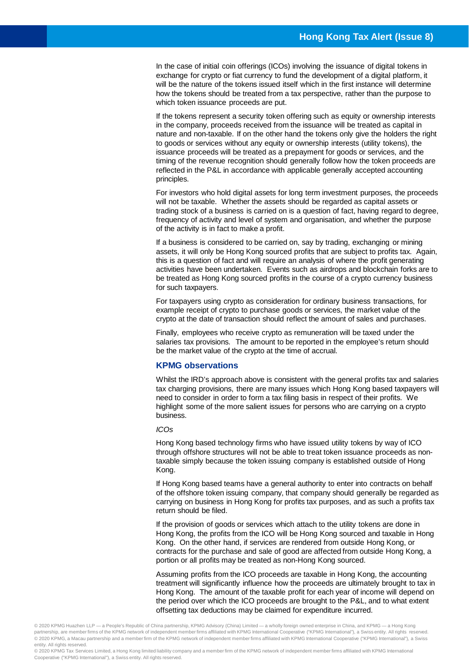In the case of initial coin offerings (ICOs) involving the issuance of digital tokens in exchange for crypto or fiat currency to fund the development of a digital platform, it will be the nature of the tokens issued itself which in the first instance will determine how the tokens should be treated from a tax perspective, rather than the purpose to which token issuance proceeds are put.

If the tokens represent a security token offering such as equity or ownership interests in the company, proceeds received from the issuance will be treated as capital in nature and non-taxable. If on the other hand the tokens only give the holders the right to goods or services without any equity or ownership interests (utility tokens), the issuance proceeds will be treated as a prepayment for goods or services, and the timing of the revenue recognition should generally follow how the token proceeds are reflected in the P&L in accordance with applicable generally accepted accounting principles.

For investors who hold digital assets for long term investment purposes, the proceeds will not be taxable. Whether the assets should be regarded as capital assets or trading stock of a business is carried on is a question of fact, having regard to degree, frequency of activity and level of system and organisation, and whether the purpose of the activity is in fact to make a profit.

If a business is considered to be carried on, say by trading, exchanging or mining assets, it will only be Hong Kong sourced profits that are subject to profits tax. Again, this is a question of fact and will require an analysis of where the profit generating activities have been undertaken. Events such as airdrops and blockchain forks are to be treated as Hong Kong sourced profits in the course of a crypto currency business for such taxpayers.

For taxpayers using crypto as consideration for ordinary business transactions, for example receipt of crypto to purchase goods or services, the market value of the crypto at the date of transaction should reflect the amount of sales and purchases.

Finally, employees who receive crypto as remuneration will be taxed under the salaries tax provisions. The amount to be reported in the employee's return should be the market value of the crypto at the time of accrual.

#### **KPMG observations**

Whilst the IRD's approach above is consistent with the general profits tax and salaries tax charging provisions, there are many issues which Hong Kong based taxpayers will need to consider in order to form a tax filing basis in respect of their profits. We highlight some of the more salient issues for persons who are carrying on a crypto business.

#### *ICOs*

Hong Kong based technology firms who have issued utility tokens by way of ICO through offshore structures will not be able to treat token issuance proceeds as nontaxable simply because the token issuing company is established outside of Hong Kong.

If Hong Kong based teams have a general authority to enter into contracts on behalf of the offshore token issuing company, that company should generally be regarded as carrying on business in Hong Kong for profits tax purposes, and as such a profits tax return should be filed.

If the provision of goods or services which attach to the utility tokens are done in Hong Kong, the profits from the ICO will be Hong Kong sourced and taxable in Hong Kong. On the other hand, if services are rendered from outside Hong Kong, or contracts for the purchase and sale of good are affected from outside Hong Kong, a portion or all profits may be treated as non-Hong Kong sourced.

Assuming profits from the ICO proceeds are taxable in Hong Kong, the accounting treatment will significantly influence how the proceeds are ultimately brought to tax in Hong Kong. The amount of the taxable profit for each year of income will depend on the period over which the ICO proceeds are brought to the P&L, and to what extent offsetting tax deductions may be claimed for expenditure incurred.

© 2020 KPMG Huazhen LLP — a People's Republic of China partnership, KPMG Advisory (China) Limited — a wholly foreign owned enterprise in China, and KPMG — a Hong Kong partnership, are member firms of the KPMG network of independent member firms affiliated with KPMG International Cooperative ("KPMG International"), a Swiss entity. All rights reserved. © 2020 KPMG, a Macau partnership and a member firm of the KPMG network of independent member firms affiliated with KPMG International Cooperative ("KPMG International"), a Swiss entity. All rights reserved.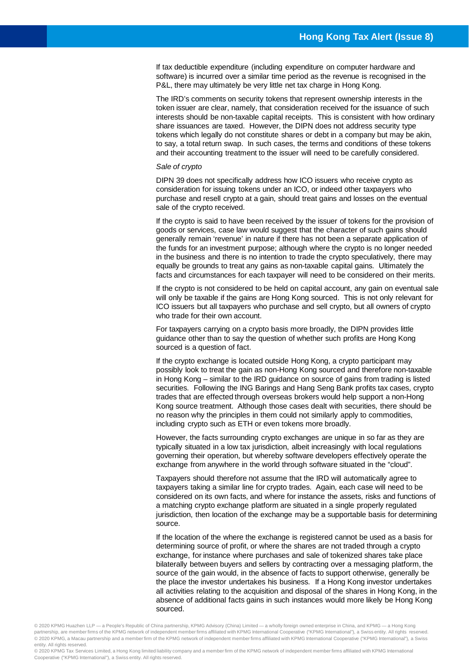If tax deductible expenditure (including expenditure on computer hardware and software) is incurred over a similar time period as the revenue is recognised in the P&L, there may ultimately be very little net tax charge in Hong Kong.

The IRD's comments on security tokens that represent ownership interests in the token issuer are clear, namely, that consideration received for the issuance of such interests should be non-taxable capital receipts. This is consistent with how ordinary share issuances are taxed. However, the DIPN does not address security type tokens which legally do not constitute shares or debt in a company but may be akin, to say, a total return swap. In such cases, the terms and conditions of these tokens and their accounting treatment to the issuer will need to be carefully considered.

#### *Sale of crypto*

DIPN 39 does not specifically address how ICO issuers who receive crypto as consideration for issuing tokens under an ICO, or indeed other taxpayers who purchase and resell crypto at a gain, should treat gains and losses on the eventual sale of the crypto received.

If the crypto is said to have been received by the issuer of tokens for the provision of goods or services, case law would suggest that the character of such gains should generally remain 'revenue' in nature if there has not been a separate application of the funds for an investment purpose; although where the crypto is no longer needed in the business and there is no intention to trade the crypto speculatively, there may equally be grounds to treat any gains as non-taxable capital gains. Ultimately the facts and circumstances for each taxpayer will need to be considered on their merits.

If the crypto is not considered to be held on capital account, any gain on eventual sale will only be taxable if the gains are Hong Kong sourced. This is not only relevant for ICO issuers but all taxpayers who purchase and sell crypto, but all owners of crypto who trade for their own account.

For taxpayers carrying on a crypto basis more broadly, the DIPN provides little guidance other than to say the question of whether such profits are Hong Kong sourced is a question of fact.

If the crypto exchange is located outside Hong Kong, a crypto participant may possibly look to treat the gain as non-Hong Kong sourced and therefore non-taxable in Hong Kong – similar to the IRD guidance on source of gains from trading is listed securities. Following the ING Barings and Hang Seng Bank profits tax cases, crypto trades that are effected through overseas brokers would help support a non-Hong Kong source treatment. Although those cases dealt with securities, there should be no reason why the principles in them could not similarly apply to commodities, including crypto such as ETH or even tokens more broadly.

However, the facts surrounding crypto exchanges are unique in so far as they are typically situated in a low tax jurisdiction, albeit increasingly with local regulations governing their operation, but whereby software developers effectively operate the exchange from anywhere in the world through software situated in the "cloud".

Taxpayers should therefore not assume that the IRD will automatically agree to taxpayers taking a similar line for crypto trades. Again, each case will need to be considered on its own facts, and where for instance the assets, risks and functions of a matching crypto exchange platform are situated in a single properly regulated jurisdiction, then location of the exchange may be a supportable basis for determining source.

If the location of the where the exchange is registered cannot be used as a basis for determining source of profit, or where the shares are not traded through a crypto exchange, for instance where purchases and sale of tokenized shares take place bilaterally between buyers and sellers by contracting over a messaging platform, the source of the gain would, in the absence of facts to support otherwise, generally be the place the investor undertakes his business. If a Hong Kong investor undertakes all activities relating to the acquisition and disposal of the shares in Hong Kong, in the absence of additional facts gains in such instances would more likely be Hong Kong sourced.

© 2020 KPMG Huazhen LLP — a People's Republic of China partnership, KPMG Advisory (China) Limited — a wholly foreign owned enterprise in China, and KPMG — a Hong Kong partnership, are member firms of the KPMG network of independent member firms affiliated with KPMG International Cooperative ("KPMG International"), a Swiss entity. All rights reserved. © 2020 KPMG, a Macau partnership and a member firm of the KPMG network of independent member firms affiliated with KPMG International Cooperative ("KPMG International"), a Swiss entity. All rights reserved.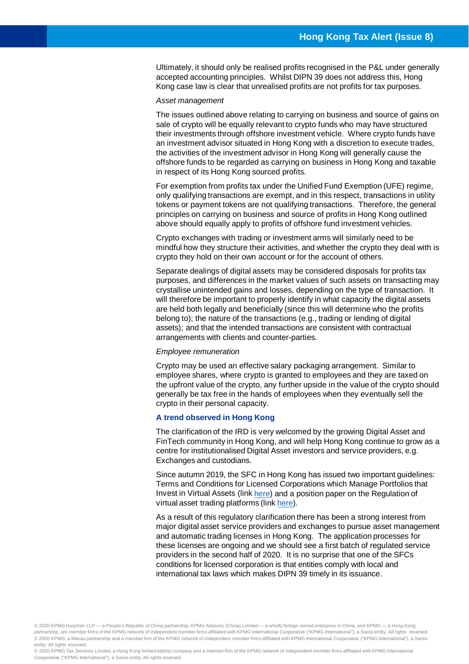Ultimately, it should only be realised profits recognised in the P&L under generally accepted accounting principles. Whilst DIPN 39 does not address this, Hong Kong case law is clear that unrealised profits are not profits for tax purposes.

#### *Asset management*

The issues outlined above relating to carrying on business and source of gains on sale of crypto will be equally relevant to crypto funds who may have structured their investments through offshore investment vehicle. Where crypto funds have an investment advisor situated in Hong Kong with a discretion to execute trades, the activities of the investment advisor in Hong Kong will generally cause the offshore funds to be regarded as carrying on business in Hong Kong and taxable in respect of its Hong Kong sourced profits.

For exemption from profits tax under the Unified Fund Exemption (UFE) regime, only qualifying transactions are exempt, and in this respect, transactions in utility tokens or payment tokens are not qualifying transactions. Therefore, the general principles on carrying on business and source of profits in Hong Kong outlined above should equally apply to profits of offshore fund investment vehicles.

Crypto exchanges with trading or investment arms will similarly need to be mindful how they structure their activities, and whether the crypto they deal with is crypto they hold on their own account or for the account of others.

Separate dealings of digital assets may be considered disposals for profits tax purposes, and differences in the market values of such assets on transacting may crystallise unintended gains and losses, depending on the type of transaction. It will therefore be important to properly identify in what capacity the digital assets are held both legally and beneficially (since this will determine who the profits belong to); the nature of the transactions (e.g., trading or lending of digital assets); and that the intended transactions are consistent with contractual arrangements with clients and counter-parties.

#### *Employee remuneration*

Crypto may be used an effective salary packaging arrangement. Similar to employee shares, where crypto is granted to employees and they are taxed on the upfront value of the crypto, any further upside in the value of the crypto should generally be tax free in the hands of employees when they eventually sell the crypto in their personal capacity.

#### **A trend observed in Hong Kong**

The clarification of the IRD is very welcomed by the growing Digital Asset and FinTech community in Hong Kong, and will help Hong Kong continue to grow as a centre for institutionalised Digital Asset investors and service providers, e.g. Exchanges and custodians.

Since autumn 2019, the SFC in Hong Kong has issued two important guidelines: Terms and Conditions for Licensed Corporations which Manage Portfolios that Invest in Virtual Assets (link [here\)](https://www.sfc.hk/web/EN/files/IS/publications/VA_Portfolio_Managers_Terms_and_Conditions_(EN).pdf) and a position paper on the Regulation of virtual asset trading platforms (link [here](https://www.sfc.hk/web/EN/files/ER/PDF/20191106%20Position%20Paper%20and%20Appendix%201%20to%20Position%20Paper%20(Eng).pdf)).

As a result of this regulatory clarification there has been a strong interest from major digital asset service providers and exchanges to pursue asset management and automatic trading licenses in Hong Kong. The application processes for these licenses are ongoing and we should see a first batch of regulated service providers in the second half of 2020. It is no surprise that one of the SFCs conditions for licensed corporation is that entities comply with local and international tax laws which makes DIPN 39 timely in its issuance.

© 2020 KPMG Huazhen LLP — a People's Republic of China partnership, KPMG Advisory (China) Limited — a wholly foreign owned enterprise in China, and KPMG — a Hong Kong partnership, are member firms of the KPMG network of independent member firms affiliated with KPMG International Cooperative ("KPMG International"), a Swiss entity. All rights reserved. © 2020 KPMG, a Macau partnership and a member firm of the KPMG network of independent member firms affiliated with KPMG International Cooperative ("KPMG International"), a Swiss entity. All rights reserved.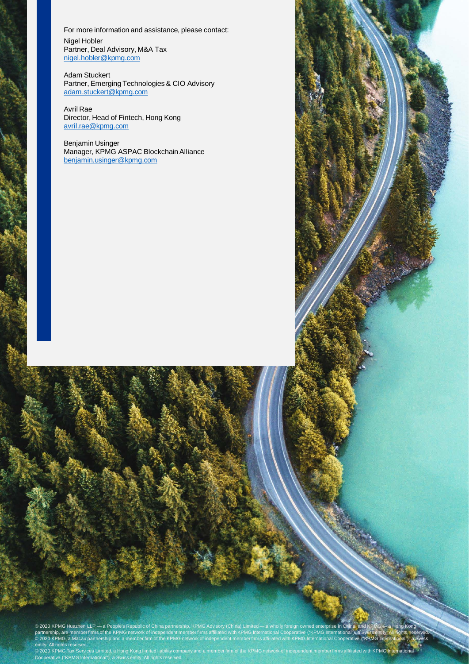For more information and assistance, please contact: Nigel Hobler Partner, Deal Advisory, M&A Tax [nigel.hobler@kpmg.com](mailto:nigel.hobler@kpmg.com) 

Adam Stuckert Partner, Emerging Technologies & CIO Advisory [adam.stuckert@kpmg.com](mailto:adam.stuckert@kpmg.com)

Avril Rae Director, Head of Fintech, Hong Kong [avril.rae@kpmg.com](mailto:avril.rae@kpmg.com)

Benjamin Usinger Manager, KPMG ASPAC Blockchain Alliance [benjamin.usinger@kpmg.com](mailto:benjamin.usinger@kpmg.com)

© 2020 KPMG Huazhen LLP — a People's Republic of China partnership, KPMG Advisory (China) Limited — a wholly foreign owned enterprise in China, and KPMG ← a Hong Kong > ←<br>partnership, are member firms of the KPMG network © 2020 KPMG, a Macau partnership and a member firm of the KPMG network of independent member firms affiliated with KPMG International Cooperative ("KPMG International"), a Swiss entity. All rights reserved. © 2020 KPMG Huazhen LLP — a People's Republic of China partnership, KPMG Advisory (China) Limited — a wholly foreign owned enterprise in China, and KPMG — a Hong Kong<br>partnership, are member firms of the KPMG network of in © 2020 KPMG, a Macau partnership and a member firm of the KPMG network of independent member firms affiliated with KPMG International Cooperative ("KPMG International"), a Swiss

.<br>Ited, a Hong Kong limited liability company and a member firm of the KPMG network of independent member firms affiliated with KPMG Internationa Cooperative ("KPMG International"), a Swiss entity. All rights reserved. entity. All rights reserved.<br>© 2020 KPMG Tax Services Limited, a Hong Kong limited liability company and a member firm of the KPMG network of independent member firms affiliated with KPMG<br>Cooperative ("KPMG International")

**Hong Kong Tax Alert (Issue 8)**